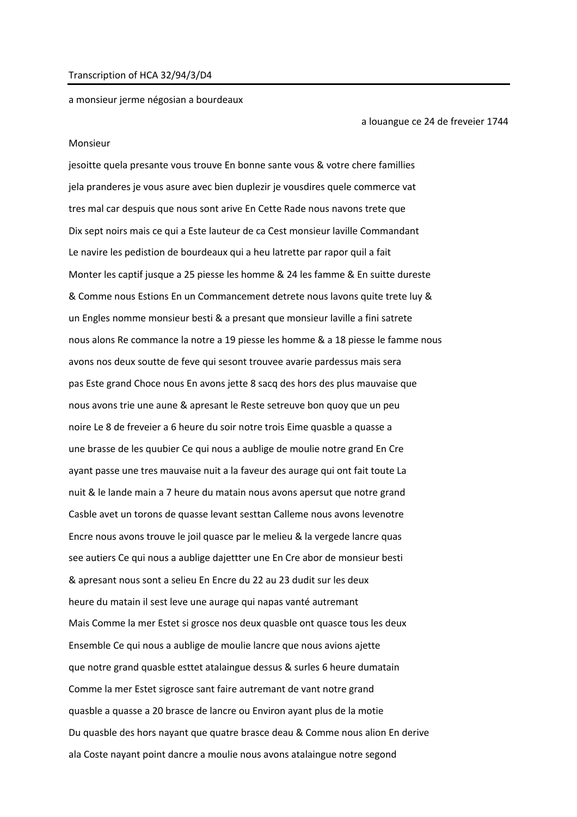## Transcription of HCA 32/94/3/D4

a monsieur jerme négosian a bourdeaux

a louangue ce 24 de freveier 1744

## Monsieur

jesoitte quela presante vous trouve En bonne sante vous & votre chere famillies jela pranderes je vous asure avec bien duplezir je vousdires quele commerce vat tres mal car despuis que nous sont arive En Cette Rade nous navons trete que Dix sept noirs mais ce qui a Este lauteur de ca Cest monsieur laville Commandant Le navire les pedistion de bourdeaux qui a heu latrette par rapor quil a fait Monter les captif jusque a 25 piesse les homme & 24 les famme & En suitte dureste & Comme nous Estions En un Commancement detrete nous lavons quite trete luy & un Engles nomme monsieur besti & a presant que monsieur laville a fini satrete nous alons Re commance la notre a 19 piesse les homme & a 18 piesse le famme nous avons nos deux soutte de feve qui sesont trouvee avarie pardessus mais sera pas Este grand Choce nous En avons jette 8 sacq des hors des plus mauvaise que nous avons trie une aune & apresant le Reste setreuve bon quoy que un peu noire Le 8 de freveier a 6 heure du soir notre trois Eime quasble a quasse a une brasse de les quubier Ce qui nous a aublige de moulie notre grand En Cre ayant passe une tres mauvaise nuit a la faveur des aurage qui ont fait toute La nuit & le lande main a 7 heure du matain nous avons apersut que notre grand Casble avet un torons de quasse levant sesttan Calleme nous avons levenotre Encre nous avons trouve le joil quasce par le melieu & la vergede lancre quas see autiers Ce qui nous a aublige dajettter une En Cre abor de monsieur besti & apresant nous sont a selieu En Encre du 22 au 23 dudit sur les deux heure du matain il sest leve une aurage qui napas vanté autremant Mais Comme la mer Estet si grosce nos deux quasble ont quasce tous les deux Ensemble Ce qui nous a aublige de moulie lancre que nous avions ajette que notre grand quasble esttet atalaingue dessus & surles 6 heure dumatain Comme la mer Estet sigrosce sant faire autremant de vant notre grand quasble a quasse a 20 brasce de lancre ou Environ ayant plus de la motie Du quasble des hors nayant que quatre brasce deau & Comme nous alion En derive ala Coste nayant point dancre a moulie nous avons atalaingue notre segond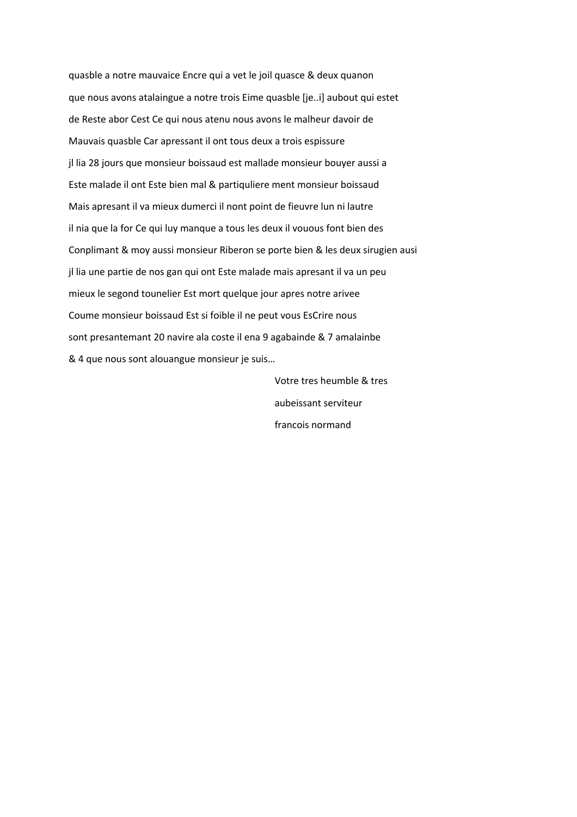quasble a notre mauvaice Encre qui a vet le joil quasce & deux quanon que nous avons atalaingue a notre trois Eime quasble [je..i] aubout qui estet de Reste abor Cest Ce qui nous atenu nous avons le malheur davoir de Mauvais quasble Car apressant il ont tous deux a trois espissure jl lia 28 jours que monsieur boissaud est mallade monsieur bouyer aussi a Este malade il ont Este bien mal & partiquliere ment monsieur boissaud Mais apresant il va mieux dumerci il nont point de fieuvre lun ni lautre il nia que la for Ce qui luy manque a tous les deux il vouous font bien des Conplimant & moy aussi monsieur Riberon se porte bien & les deux sirugien ausi jl lia une partie de nos gan qui ont Este malade mais apresant il va un peu mieux le segond tounelier Est mort quelque jour apres notre arivee Coume monsieur boissaud Est si foible il ne peut vous EsCrire nous sont presantemant 20 navire ala coste il ena 9 agabainde & 7 amalainbe & 4 que nous sont alouangue monsieur je suis...

> Votre tres heumble & tres aubeissant serviteur francois normand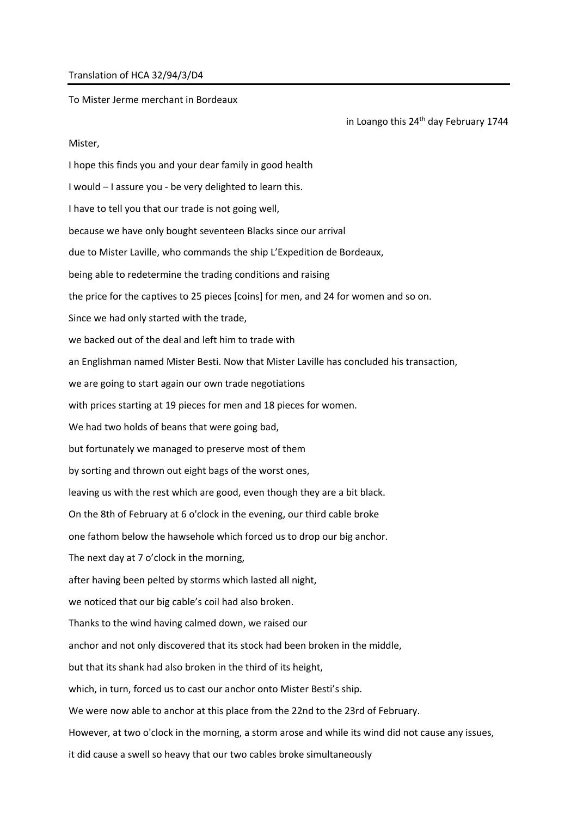## Translation of HCA 32/94/3/D4

To Mister Jerme merchant in Bordeaux

in Loango this 24<sup>th</sup> day February 1744

## Mister,

I hope this finds you and your dear family in good health I would – I assure you - be very delighted to learn this. I have to tell you that our trade is not going well, because we have only bought seventeen Blacks since our arrival due to Mister Laville, who commands the ship L'Expedition de Bordeaux, being able to redetermine the trading conditions and raising the price for the captives to 25 pieces [coins] for men, and 24 for women and so on. Since we had only started with the trade, we backed out of the deal and left him to trade with an Englishman named Mister Besti. Now that Mister Laville has concluded his transaction, we are going to start again our own trade negotiations with prices starting at 19 pieces for men and 18 pieces for women. We had two holds of beans that were going bad, but fortunately we managed to preserve most of them by sorting and thrown out eight bags of the worst ones, leaving us with the rest which are good, even though they are a bit black. On the 8th of February at 6 o'clock in the evening, our third cable broke one fathom below the hawsehole which forced us to drop our big anchor. The next day at 7 o'clock in the morning, after having been pelted by storms which lasted all night, we noticed that our big cable's coil had also broken. Thanks to the wind having calmed down, we raised our anchor and not only discovered that its stock had been broken in the middle, but that its shank had also broken in the third of its height, which, in turn, forced us to cast our anchor onto Mister Besti's ship. We were now able to anchor at this place from the 22nd to the 23rd of February. However, at two o'clock in the morning, a storm arose and while its wind did not cause any issues, it did cause a swell so heavy that our two cables broke simultaneously